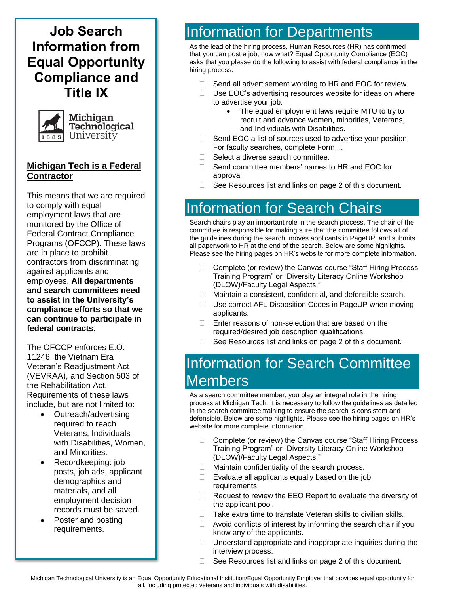**Job Search Information from Equal Opportunity Compliance and Title IX**



### **Michigan Tech is a Federal Contractor**

This means that we are required to comply with equal employment laws that are monitored by the Office of Federal Contract Compliance Programs (OFCCP). These laws are in place to prohibit contractors from discriminating against applicants and employees. **All departments and search committees need to assist in the University's compliance efforts so that we can continue to participate in federal contracts.**

The OFCCP enforces E.O. 11246, the Vietnam Era Veteran's Readjustment Act (VEVRAA), and Section 503 of the Rehabilitation Act. Requirements of these laws include, but are not limited to:

- Outreach/advertising required to reach Veterans, Individuals with Disabilities, Women, and Minorities.
- Recordkeeping: job posts, job ads, applicant demographics and materials, and all employment decision records must be saved.
- Poster and posting requirements.

## Information for Departments

As the lead of the hiring process, Human Resources (HR) has confirmed that you can post a job, now what? Equal Opportunity Compliance (EOC) asks that you please do the following to assist with federal compliance in the hiring process:

- $\Box$  Send all advertisement wording to HR and EOC for review.
- $\Box$  Use EOC's advertising resources website for ideas on where to advertise your job.
	- The equal employment laws require MTU to try to recruit and advance women, minorities, Veterans, and Individuals with Disabilities.
- Send EOC a list of sources used to advertise your position. For faculty searches, complete Form II.
- $\Box$  Select a diverse search committee.
- □ Send committee members' names to HR and FOC for approval.
- □ See Resources list and links on page 2 of this document.

## Information for Search Chairs

Search chairs play an important role in the search process. The chair of the committee is responsible for making sure that the committee follows all of the guidelines during the search, moves applicants in PageUP, and submits all paperwork to HR at the end of the search. Below are some highlights. Please see the hiring pages on HR's website for more complete information.

- Complete (or review) the Canvas course "Staff Hiring Process Training Program" or "Diversity Literacy Online Workshop (DLOW)/Faculty Legal Aspects."
- □ Maintain a consistent, confidential, and defensible search.
- $\Box$  Use correct AFL Disposition Codes in PageUP when moving applicants.
- $\Box$  Enter reasons of non-selection that are based on the required/desired job description qualifications.
- $\Box$  See Resources list and links on page 2 of this document.

# Information for Search Committee Members

As a search committee member, you play an integral role in the hiring process at Michigan Tech. It is necessary to follow the guidelines as detailed in the search committee training to ensure the search is consistent and defensible. Below are some highlights. Please see the hiring pages on HR's website for more complete information.

- □ Complete (or review) the Canvas course "Staff Hiring Process Training Program" or "Diversity Literacy Online Workshop (DLOW)/Faculty Legal Aspects."
- $\Box$  Maintain confidentiality of the search process.
- $\Box$  Evaluate all applicants equally based on the job requirements.
- $\Box$  Request to review the EEO Report to evaluate the diversity of the applicant pool.
- $\Box$  Take extra time to translate Veteran skills to civilian skills.
- $\Box$  Avoid conflicts of interest by informing the search chair if you know any of the applicants.
- $\Box$  Understand appropriate and inappropriate inquiries during the interview process.
- □ See Resources list and links on page 2 of this document.